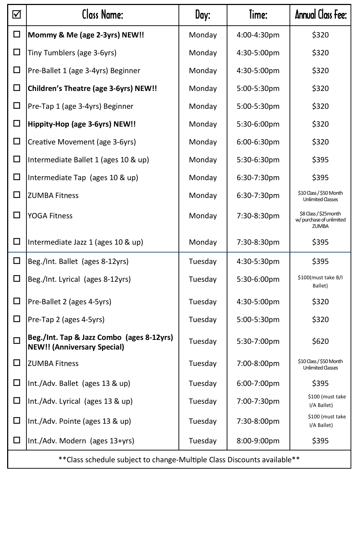| ☑                                                                        | Class Name:                                                                     | Day:    | Time:       | Annual Class Fee:                                                 |  |
|--------------------------------------------------------------------------|---------------------------------------------------------------------------------|---------|-------------|-------------------------------------------------------------------|--|
| $\Box$                                                                   | Mommy & Me (age 2-3yrs) NEW!!                                                   | Monday  | 4:00-4:30pm | \$320                                                             |  |
| □                                                                        | Tiny Tumblers (age 3-6yrs)                                                      | Monday  | 4:30-5:00pm | \$320                                                             |  |
| □                                                                        | Pre-Ballet 1 (age 3-4yrs) Beginner                                              | Monday  | 4:30-5:00pm | \$320                                                             |  |
| □                                                                        | Children's Theatre (age 3-6yrs) NEW!!                                           | Monday  | 5:00-5:30pm | \$320                                                             |  |
| □                                                                        | Pre-Tap 1 (age 3-4yrs) Beginner                                                 | Monday  | 5:00-5:30pm | \$320                                                             |  |
| □                                                                        | Hippity-Hop (age 3-6yrs) NEW!!                                                  | Monday  | 5:30-6:00pm | \$320                                                             |  |
| $\Box$                                                                   | Creative Movement (age 3-6yrs)                                                  | Monday  | 6:00-6:30pm | \$320                                                             |  |
| □                                                                        | Intermediate Ballet 1 (ages 10 & up)                                            | Monday  | 5:30-6:30pm | \$395                                                             |  |
| □                                                                        | Intermediate Tap (ages 10 & up)                                                 | Monday  | 6:30-7:30pm | \$395                                                             |  |
| ◻                                                                        | <b>ZUMBA Fitness</b>                                                            | Monday  | 6:30-7:30pm | \$10 Class / \$50 Month<br><b>Unlimited Classes</b>               |  |
| □                                                                        | <b>YOGA Fitness</b>                                                             | Monday  | 7:30-8:30pm | \$8 Class / \$25month<br>w/ purchase of unlimited<br><b>ZUMBA</b> |  |
| □                                                                        | Intermediate Jazz 1 (ages 10 & up)                                              | Monday  | 7:30-8:30pm | \$395                                                             |  |
| $\Box$                                                                   | Beg./Int. Ballet (ages 8-12yrs)                                                 | Tuesday | 4:30-5:30pm | \$395                                                             |  |
| □                                                                        | Beg./Int. Lyrical (ages 8-12yrs)                                                | Tuesday | 5:30-6:00pm | \$100(must take B/I<br>Ballet)                                    |  |
| □                                                                        | Pre-Ballet 2 (ages 4-5yrs)                                                      | Tuesday | 4:30-5:00pm | \$320                                                             |  |
| $\Box$                                                                   | Pre-Tap 2 (ages 4-5yrs)                                                         | Tuesday | 5:00-5:30pm | \$320                                                             |  |
| $\Box$                                                                   | Beg./Int. Tap & Jazz Combo (ages 8-12yrs)<br><b>NEW!! (Anniversary Special)</b> | Tuesday | 5:30-7:00pm | \$620                                                             |  |
| ◻                                                                        | <b>ZUMBA Fitness</b>                                                            | Tuesday | 7:00-8:00pm | \$10 Class / \$50 Month<br><b>Unlimited Classes</b>               |  |
| $\Box$                                                                   | Int./Adv. Ballet (ages 13 & up)                                                 | Tuesday | 6:00-7:00pm | \$395                                                             |  |
| □                                                                        | Int./Adv. Lyrical (ages 13 & up)                                                | Tuesday | 7:00-7:30pm | \$100 (must take<br>I/A Ballet)                                   |  |
| □                                                                        | Int./Adv. Pointe (ages 13 & up)                                                 | Tuesday | 7:30-8:00pm | \$100 (must take<br>I/A Ballet)                                   |  |
| ◻                                                                        | Int./Adv. Modern (ages 13+yrs)                                                  | Tuesday | 8:00-9:00pm | \$395                                                             |  |
| ** Class schedule subject to change-Multiple Class Discounts available** |                                                                                 |         |             |                                                                   |  |